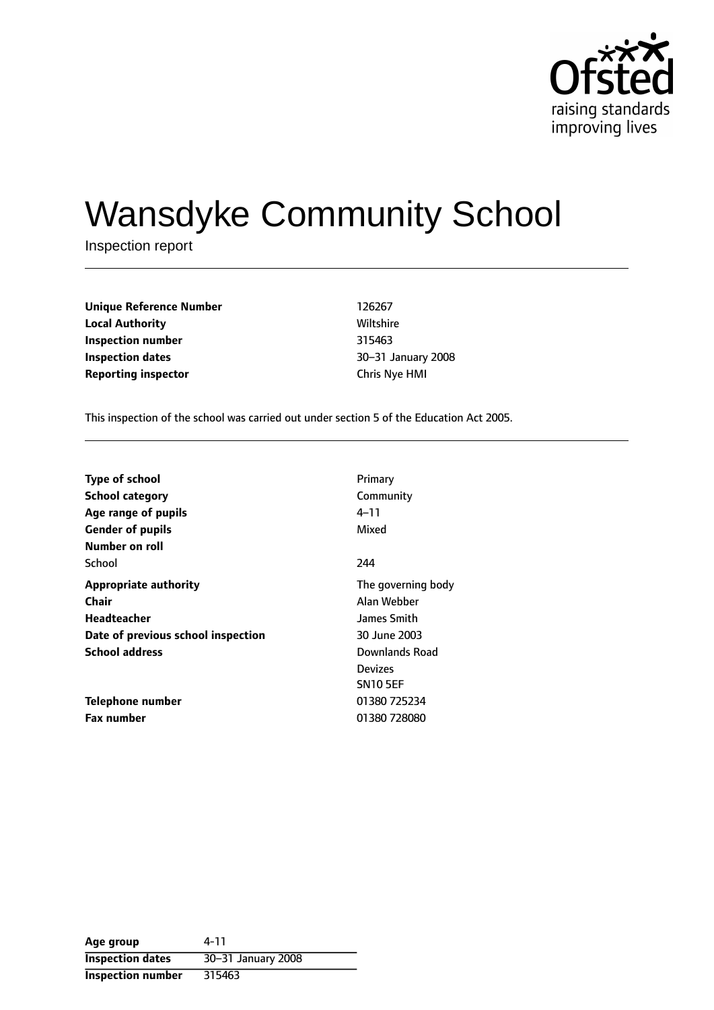

# Wansdyke Community School

Inspection report

**Unique Reference Number** 126267 **Local Authority Miltshire** Wiltshire **Inspection number** 315463 **Inspection dates 1888 1888 1888 1888 1888 1888 1888 1888 1888 1888 1888 1888 1888 1888 1888 1888 1888 1888 1888 1888 1888 1888 1888 1888 1888 1888 1888 1888 1888 Reporting inspector** Chris Nye HMI

This inspection of the school was carried out under section 5 of the Education Act 2005.

| <b>Type of school</b>              | Primary               |
|------------------------------------|-----------------------|
| <b>School category</b>             | Community             |
| Age range of pupils                | 4–11                  |
| <b>Gender of pupils</b>            | Mixed                 |
| Number on roll                     |                       |
| School                             | 244                   |
| <b>Appropriate authority</b>       | The governing body    |
| <b>Chair</b>                       | Alan Webber           |
| Headteacher                        | James Smith           |
| Date of previous school inspection | 30 June 2003          |
| <b>School address</b>              | <b>Downlands Road</b> |
|                                    | <b>Devizes</b>        |
|                                    | <b>SN10 5EF</b>       |
| <b>Telephone number</b>            | 01380 725234          |
| <b>Fax number</b>                  | 01380 728080          |

**Age group** 4-11 **Inspection dates** 30-31 January 2008 **Inspection number** 315463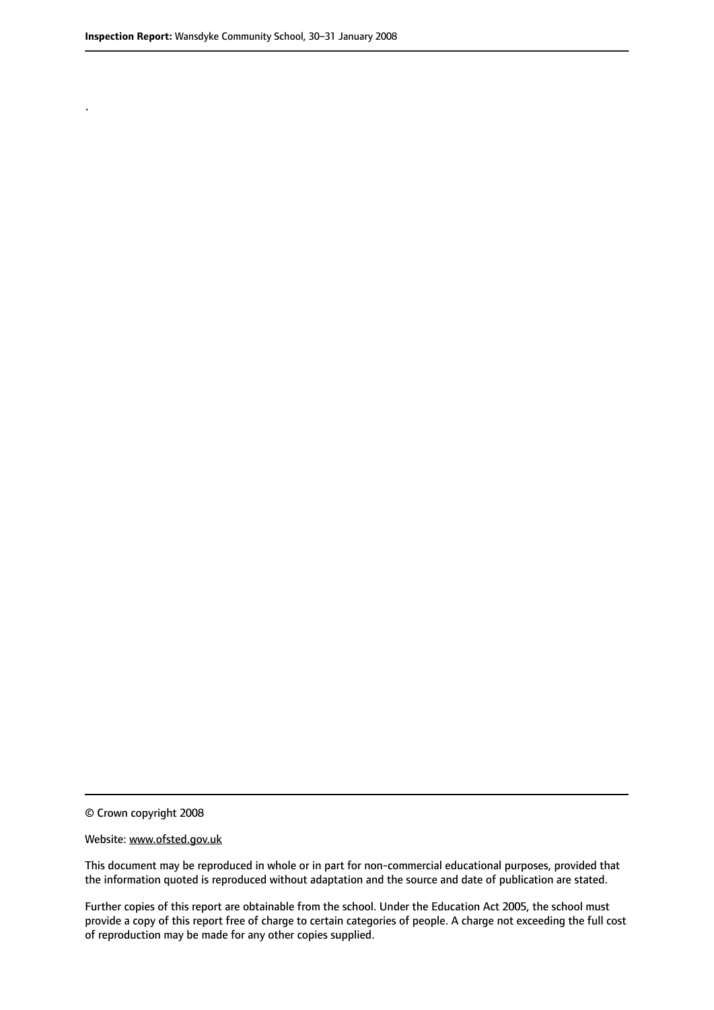.

© Crown copyright 2008

#### Website: www.ofsted.gov.uk

This document may be reproduced in whole or in part for non-commercial educational purposes, provided that the information quoted is reproduced without adaptation and the source and date of publication are stated.

Further copies of this report are obtainable from the school. Under the Education Act 2005, the school must provide a copy of this report free of charge to certain categories of people. A charge not exceeding the full cost of reproduction may be made for any other copies supplied.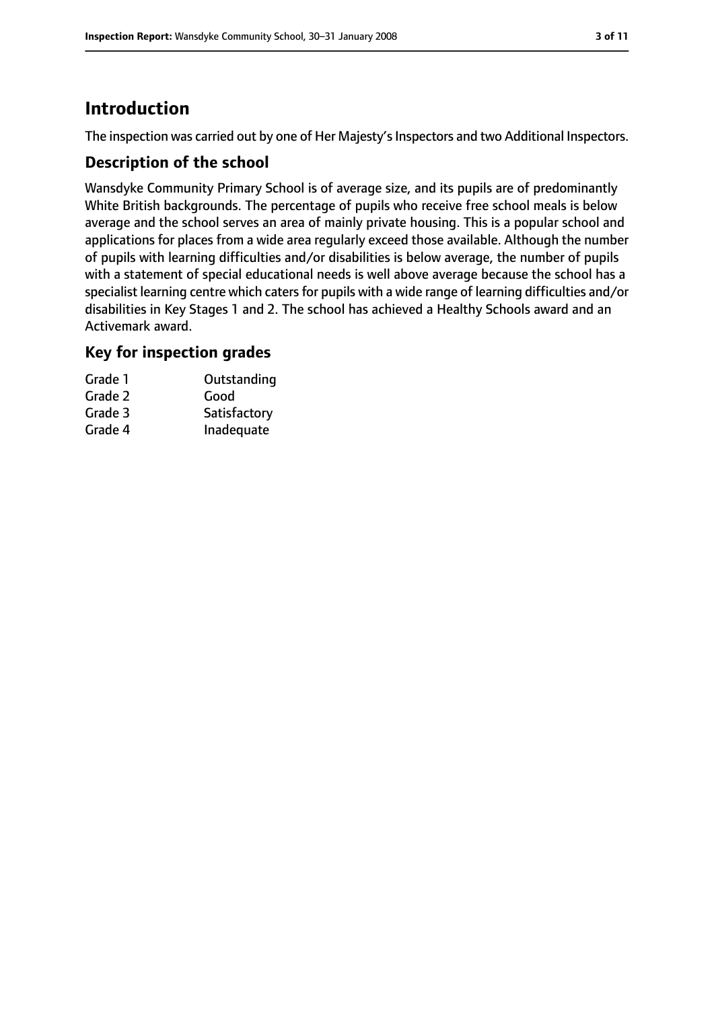## **Introduction**

The inspection was carried out by one of Her Majesty's Inspectors and two Additional Inspectors.

#### **Description of the school**

Wansdyke Community Primary School is of average size, and its pupils are of predominantly White British backgrounds. The percentage of pupils who receive free school meals is below average and the school serves an area of mainly private housing. This is a popular school and applications for places from a wide area regularly exceed those available. Although the number of pupils with learning difficulties and/or disabilities is below average, the number of pupils with a statement of special educational needs is well above average because the school has a specialist learning centre which caters for pupils with a wide range of learning difficulties and/or disabilities in Key Stages 1 and 2. The school has achieved a Healthy Schools award and an Activemark award.

#### **Key for inspection grades**

| Grade 1 | Outstanding  |
|---------|--------------|
| Grade 2 | Good         |
| Grade 3 | Satisfactory |
| Grade 4 | Inadequate   |
|         |              |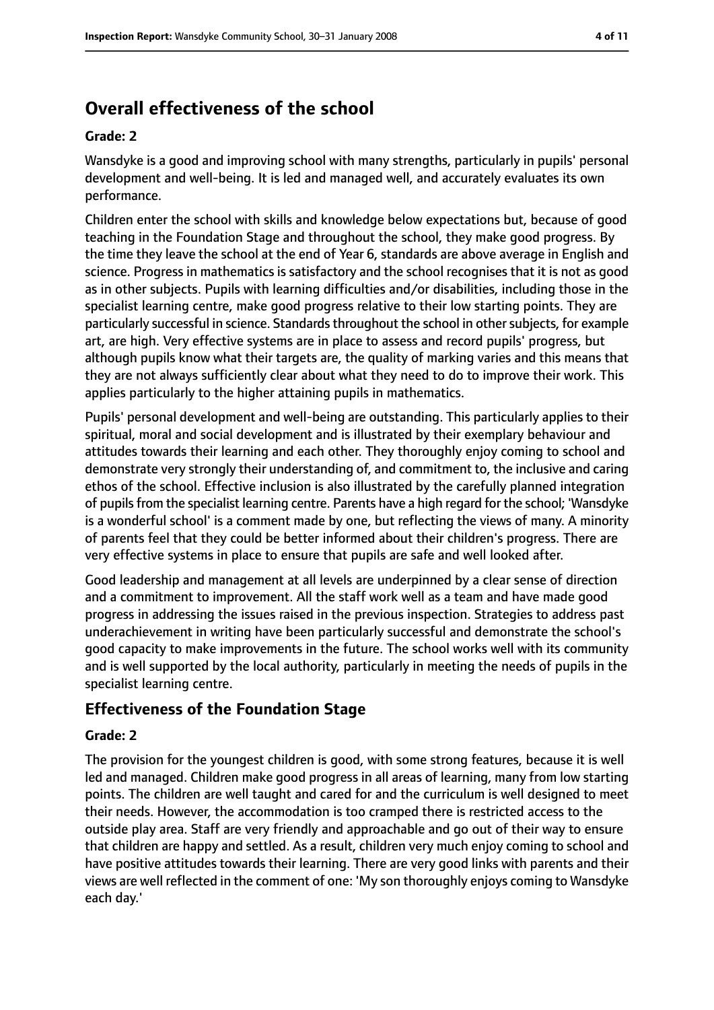# **Overall effectiveness of the school**

#### **Grade: 2**

Wansdyke is a good and improving school with many strengths, particularly in pupils' personal development and well-being. It is led and managed well, and accurately evaluates its own performance.

Children enter the school with skills and knowledge below expectations but, because of good teaching in the Foundation Stage and throughout the school, they make good progress. By the time they leave the school at the end of Year 6, standards are above average in English and science. Progress in mathematics is satisfactory and the school recognises that it is not as good as in other subjects. Pupils with learning difficulties and/or disabilities, including those in the specialist learning centre, make good progress relative to their low starting points. They are particularly successful in science. Standards throughout the school in other subjects, for example art, are high. Very effective systems are in place to assess and record pupils' progress, but although pupils know what their targets are, the quality of marking varies and this means that they are not always sufficiently clear about what they need to do to improve their work. This applies particularly to the higher attaining pupils in mathematics.

Pupils' personal development and well-being are outstanding. This particularly applies to their spiritual, moral and social development and is illustrated by their exemplary behaviour and attitudes towards their learning and each other. They thoroughly enjoy coming to school and demonstrate very strongly their understanding of, and commitment to, the inclusive and caring ethos of the school. Effective inclusion is also illustrated by the carefully planned integration of pupilsfrom the specialist learning centre. Parents have a high regard for the school; 'Wansdyke is a wonderful school' is a comment made by one, but reflecting the views of many. A minority of parents feel that they could be better informed about their children's progress. There are very effective systems in place to ensure that pupils are safe and well looked after.

Good leadership and management at all levels are underpinned by a clear sense of direction and a commitment to improvement. All the staff work well as a team and have made good progress in addressing the issues raised in the previous inspection. Strategies to address past underachievement in writing have been particularly successful and demonstrate the school's good capacity to make improvements in the future. The school works well with its community and is well supported by the local authority, particularly in meeting the needs of pupils in the specialist learning centre.

## **Effectiveness of the Foundation Stage**

#### **Grade: 2**

The provision for the youngest children is good, with some strong features, because it is well led and managed. Children make good progress in all areas of learning, many from low starting points. The children are well taught and cared for and the curriculum is well designed to meet their needs. However, the accommodation is too cramped there is restricted access to the outside play area. Staff are very friendly and approachable and go out of their way to ensure that children are happy and settled. As a result, children very much enjoy coming to school and have positive attitudes towards their learning. There are very good links with parents and their views are well reflected in the comment of one: 'My son thoroughly enjoys coming to Wansdyke each day.'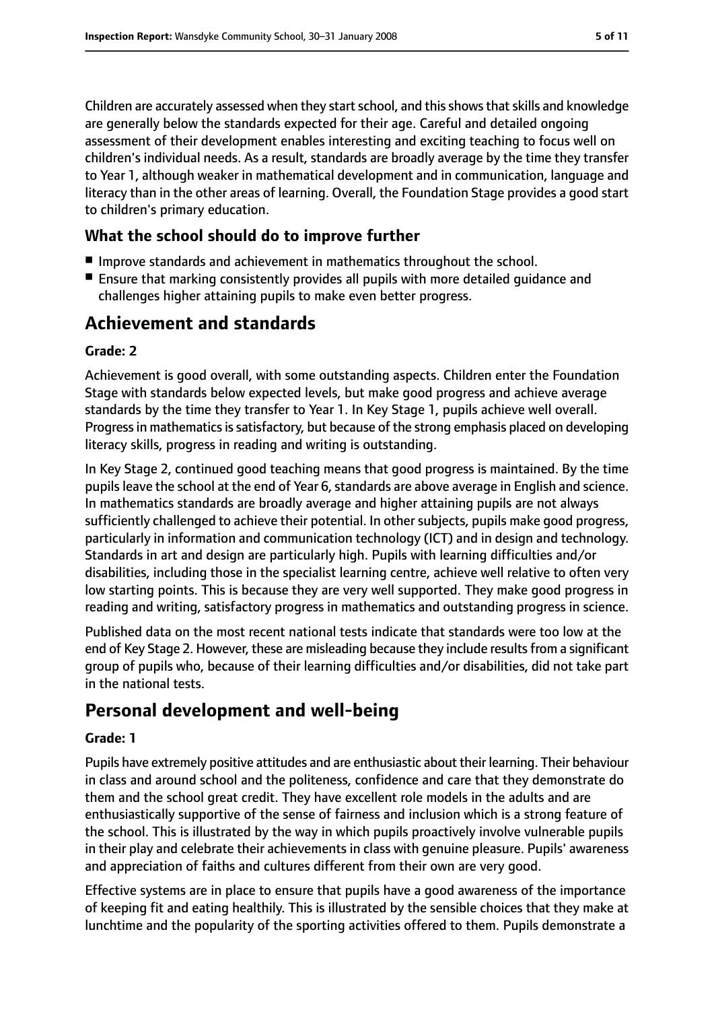Children are accurately assessed when they start school, and this shows that skills and knowledge are generally below the standards expected for their age. Careful and detailed ongoing assessment of their development enables interesting and exciting teaching to focus well on children's individual needs. As a result, standards are broadly average by the time they transfer to Year 1, although weaker in mathematical development and in communication, language and literacy than in the other areas of learning. Overall, the Foundation Stage provides a good start to children's primary education.

#### **What the school should do to improve further**

- Improve standards and achievement in mathematics throughout the school.
- Ensure that marking consistently provides all pupils with more detailed quidance and challenges higher attaining pupils to make even better progress.

## **Achievement and standards**

#### **Grade: 2**

Achievement is good overall, with some outstanding aspects. Children enter the Foundation Stage with standards below expected levels, but make good progress and achieve average standards by the time they transfer to Year 1. In Key Stage 1, pupils achieve well overall. Progress in mathematics is satisfactory, but because of the strong emphasis placed on developing literacy skills, progress in reading and writing is outstanding.

In Key Stage 2, continued good teaching means that good progress is maintained. By the time pupils leave the school at the end of Year 6, standards are above average in English and science. In mathematics standards are broadly average and higher attaining pupils are not always sufficiently challenged to achieve their potential. In other subjects, pupils make good progress, particularly in information and communication technology (ICT) and in design and technology. Standards in art and design are particularly high. Pupils with learning difficulties and/or disabilities, including those in the specialist learning centre, achieve well relative to often very low starting points. This is because they are very well supported. They make good progress in reading and writing, satisfactory progress in mathematics and outstanding progress in science.

Published data on the most recent national tests indicate that standards were too low at the end of Key Stage 2. However, these are misleading because they include results from a significant group of pupils who, because of their learning difficulties and/or disabilities, did not take part in the national tests.

## **Personal development and well-being**

#### **Grade: 1**

Pupils have extremely positive attitudes and are enthusiastic about their learning. Their behaviour in class and around school and the politeness, confidence and care that they demonstrate do them and the school great credit. They have excellent role models in the adults and are enthusiastically supportive of the sense of fairness and inclusion which is a strong feature of the school. This is illustrated by the way in which pupils proactively involve vulnerable pupils in their play and celebrate their achievements in class with genuine pleasure. Pupils' awareness and appreciation of faiths and cultures different from their own are very good.

Effective systems are in place to ensure that pupils have a good awareness of the importance of keeping fit and eating healthily. This is illustrated by the sensible choices that they make at lunchtime and the popularity of the sporting activities offered to them. Pupils demonstrate a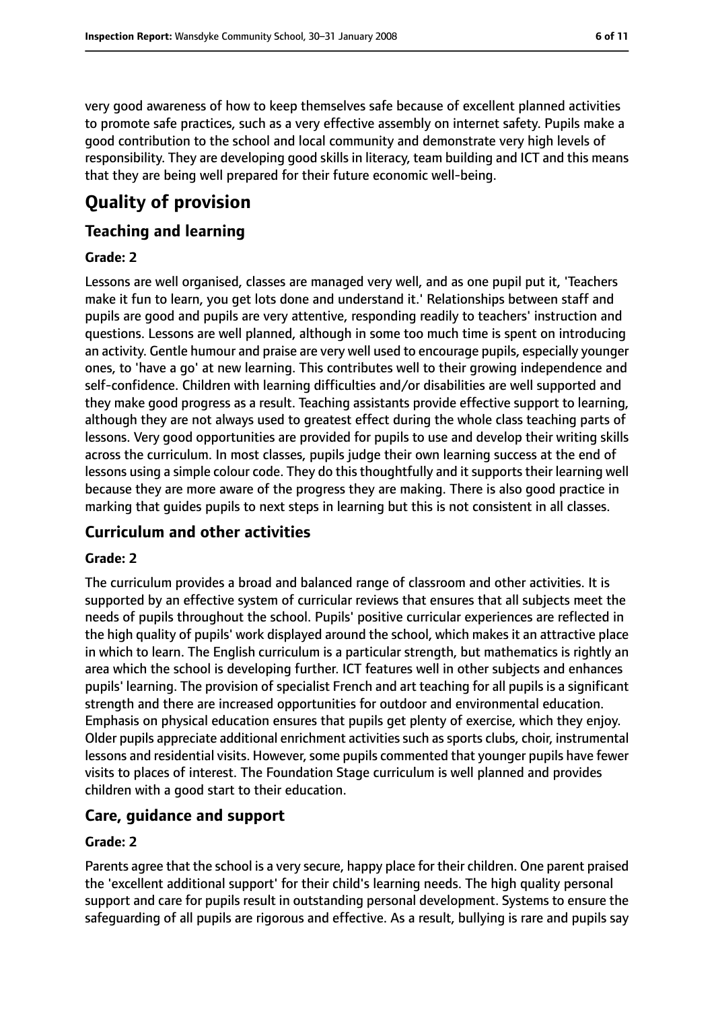very good awareness of how to keep themselves safe because of excellent planned activities to promote safe practices, such as a very effective assembly on internet safety. Pupils make a good contribution to the school and local community and demonstrate very high levels of responsibility. They are developing good skills in literacy, team building and ICT and this means that they are being well prepared for their future economic well-being.

# **Quality of provision**

#### **Teaching and learning**

#### **Grade: 2**

Lessons are well organised, classes are managed very well, and as one pupil put it, 'Teachers make it fun to learn, you get lots done and understand it.' Relationships between staff and pupils are good and pupils are very attentive, responding readily to teachers' instruction and questions. Lessons are well planned, although in some too much time is spent on introducing an activity. Gentle humour and praise are very well used to encourage pupils, especially younger ones, to 'have a go' at new learning. This contributes well to their growing independence and self-confidence. Children with learning difficulties and/or disabilities are well supported and they make good progress as a result. Teaching assistants provide effective support to learning, although they are not always used to greatest effect during the whole class teaching parts of lessons. Very good opportunities are provided for pupils to use and develop their writing skills across the curriculum. In most classes, pupils judge their own learning success at the end of lessons using a simple colour code. They do this thoughtfully and it supports their learning well because they are more aware of the progress they are making. There is also good practice in marking that guides pupils to next steps in learning but this is not consistent in all classes.

#### **Curriculum and other activities**

#### **Grade: 2**

The curriculum provides a broad and balanced range of classroom and other activities. It is supported by an effective system of curricular reviews that ensures that all subjects meet the needs of pupils throughout the school. Pupils' positive curricular experiences are reflected in the high quality of pupils' work displayed around the school, which makes it an attractive place in which to learn. The English curriculum is a particular strength, but mathematics is rightly an area which the school is developing further. ICT features well in other subjects and enhances pupils' learning. The provision of specialist French and art teaching for all pupils is a significant strength and there are increased opportunities for outdoor and environmental education. Emphasis on physical education ensures that pupils get plenty of exercise, which they enjoy. Older pupils appreciate additional enrichment activities such as sports clubs, choir, instrumental lessons and residential visits. However, some pupils commented that younger pupils have fewer visits to places of interest. The Foundation Stage curriculum is well planned and provides children with a good start to their education.

#### **Care, guidance and support**

#### **Grade: 2**

Parents agree that the school is a very secure, happy place for their children. One parent praised the 'excellent additional support' for their child's learning needs. The high quality personal support and care for pupils result in outstanding personal development. Systems to ensure the safeguarding of all pupils are rigorous and effective. As a result, bullying is rare and pupils say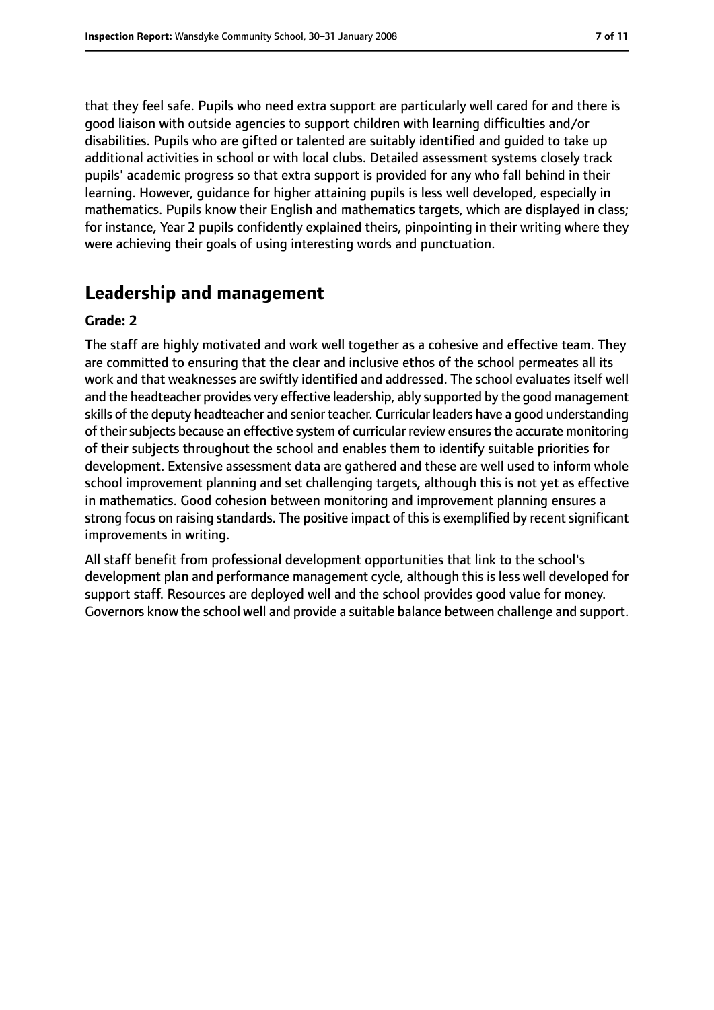that they feel safe. Pupils who need extra support are particularly well cared for and there is good liaison with outside agencies to support children with learning difficulties and/or disabilities. Pupils who are gifted or talented are suitably identified and guided to take up additional activities in school or with local clubs. Detailed assessment systems closely track pupils' academic progress so that extra support is provided for any who fall behind in their learning. However, guidance for higher attaining pupils is less well developed, especially in mathematics. Pupils know their English and mathematics targets, which are displayed in class; for instance, Year 2 pupils confidently explained theirs, pinpointing in their writing where they were achieving their goals of using interesting words and punctuation.

## **Leadership and management**

#### **Grade: 2**

The staff are highly motivated and work well together as a cohesive and effective team. They are committed to ensuring that the clear and inclusive ethos of the school permeates all its work and that weaknesses are swiftly identified and addressed. The school evaluates itself well and the headteacher provides very effective leadership, ably supported by the good management skills of the deputy headteacher and senior teacher. Curricular leaders have a good understanding of their subjects because an effective system of curricular review ensures the accurate monitoring of their subjects throughout the school and enables them to identify suitable priorities for development. Extensive assessment data are gathered and these are well used to inform whole school improvement planning and set challenging targets, although this is not yet as effective in mathematics. Good cohesion between monitoring and improvement planning ensures a strong focus on raising standards. The positive impact of this is exemplified by recent significant improvements in writing.

All staff benefit from professional development opportunities that link to the school's development plan and performance management cycle, although this is less well developed for support staff. Resources are deployed well and the school provides good value for money. Governors know the school well and provide a suitable balance between challenge and support.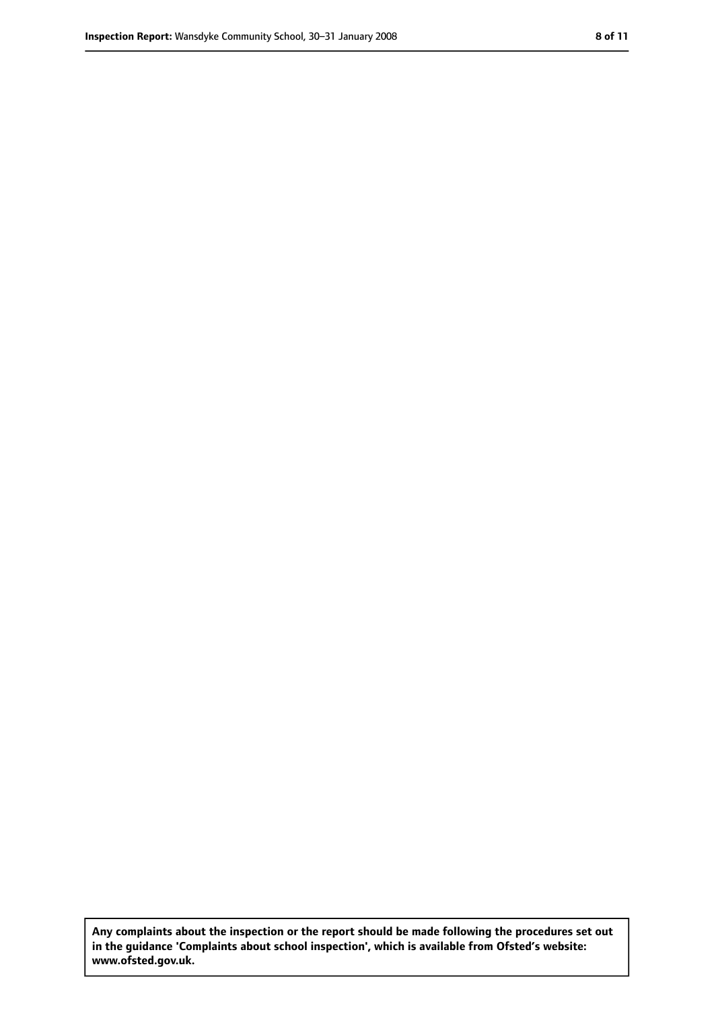**Any complaints about the inspection or the report should be made following the procedures set out in the guidance 'Complaints about school inspection', which is available from Ofsted's website: www.ofsted.gov.uk.**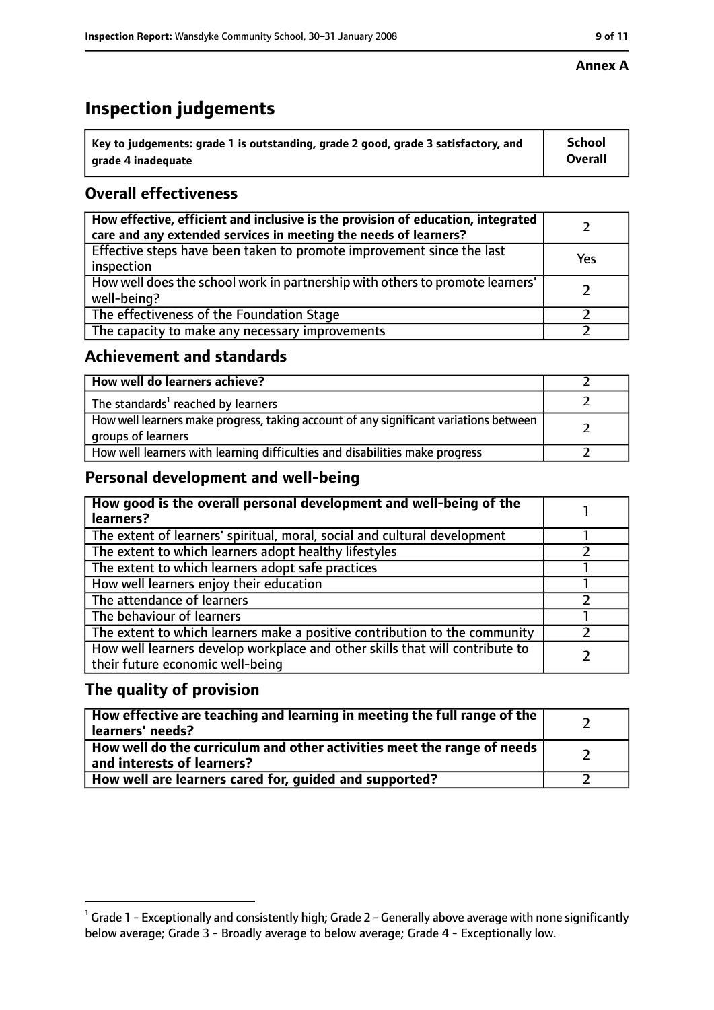## **Inspection judgements**

| $^{\backprime}$ Key to judgements: grade 1 is outstanding, grade 2 good, grade 3 satisfactory, and | <b>School</b>  |
|----------------------------------------------------------------------------------------------------|----------------|
| arade 4 inadequate                                                                                 | <b>Overall</b> |

### **Overall effectiveness**

| How effective, efficient and inclusive is the provision of education, integrated<br>care and any extended services in meeting the needs of learners? |     |
|------------------------------------------------------------------------------------------------------------------------------------------------------|-----|
| Effective steps have been taken to promote improvement since the last<br>inspection                                                                  | Yes |
| How well does the school work in partnership with others to promote learners'<br>well-being?                                                         |     |
| The effectiveness of the Foundation Stage                                                                                                            |     |
| The capacity to make any necessary improvements                                                                                                      |     |

#### **Achievement and standards**

| How well do learners achieve?                                                                               |  |
|-------------------------------------------------------------------------------------------------------------|--|
| The standards <sup>1</sup> reached by learners                                                              |  |
| How well learners make progress, taking account of any significant variations between<br>groups of learners |  |
| How well learners with learning difficulties and disabilities make progress                                 |  |

#### **Personal development and well-being**

| How good is the overall personal development and well-being of the<br>learners?                                  |  |
|------------------------------------------------------------------------------------------------------------------|--|
| The extent of learners' spiritual, moral, social and cultural development                                        |  |
| The extent to which learners adopt healthy lifestyles                                                            |  |
| The extent to which learners adopt safe practices                                                                |  |
| How well learners enjoy their education                                                                          |  |
| The attendance of learners                                                                                       |  |
| The behaviour of learners                                                                                        |  |
| The extent to which learners make a positive contribution to the community                                       |  |
| How well learners develop workplace and other skills that will contribute to<br>their future economic well-being |  |

#### **The quality of provision**

| How effective are teaching and learning in meeting the full range of the<br>learners' needs?          |  |
|-------------------------------------------------------------------------------------------------------|--|
| How well do the curriculum and other activities meet the range of needs<br>and interests of learners? |  |
| How well are learners cared for, guided and supported?                                                |  |

 $^1$  Grade 1 - Exceptionally and consistently high; Grade 2 - Generally above average with none significantly below average; Grade 3 - Broadly average to below average; Grade 4 - Exceptionally low.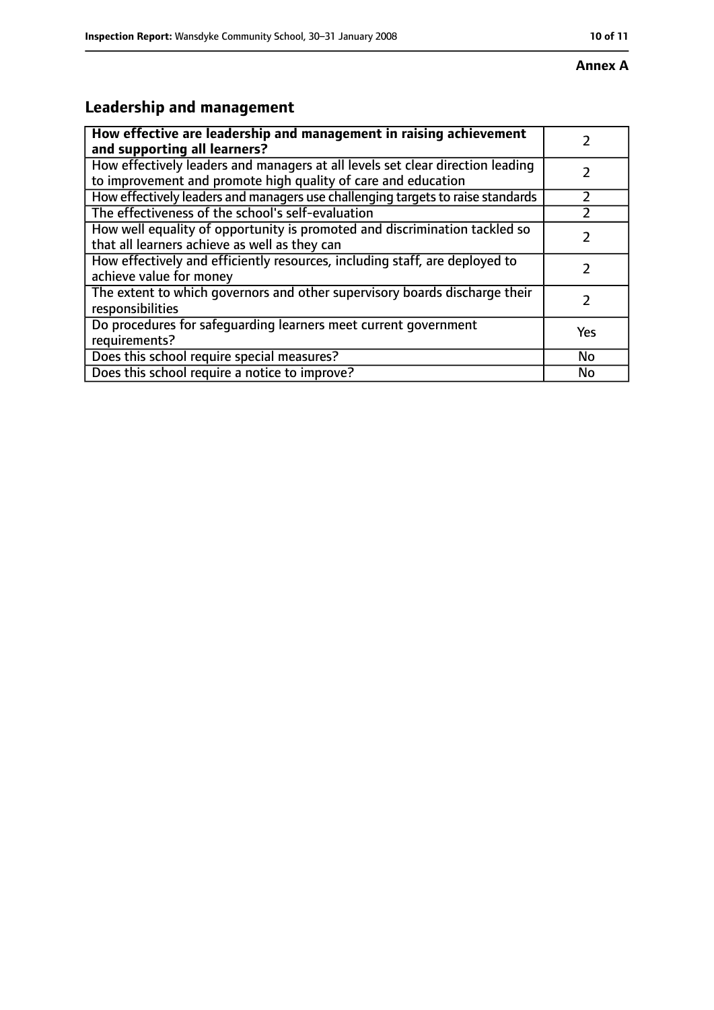# **Leadership and management**

| How effective are leadership and management in raising achievement<br>and supporting all learners?                                              |     |
|-------------------------------------------------------------------------------------------------------------------------------------------------|-----|
| How effectively leaders and managers at all levels set clear direction leading<br>to improvement and promote high quality of care and education |     |
| How effectively leaders and managers use challenging targets to raise standards                                                                 |     |
| The effectiveness of the school's self-evaluation                                                                                               |     |
| How well equality of opportunity is promoted and discrimination tackled so<br>that all learners achieve as well as they can                     |     |
| How effectively and efficiently resources, including staff, are deployed to<br>achieve value for money                                          |     |
| The extent to which governors and other supervisory boards discharge their<br>responsibilities                                                  |     |
| Do procedures for safequarding learners meet current government<br>requirements?                                                                | Yes |
| Does this school require special measures?                                                                                                      | No  |
| Does this school require a notice to improve?                                                                                                   | No  |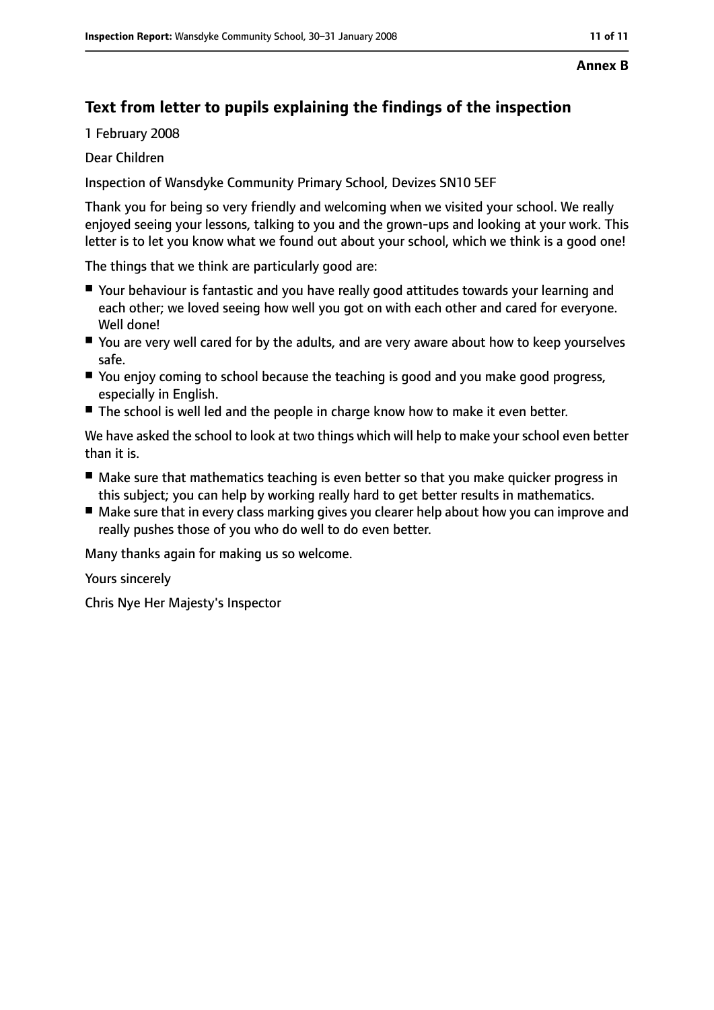#### **Annex B**

## **Text from letter to pupils explaining the findings of the inspection**

1 February 2008

Dear Children

Inspection of Wansdyke Community Primary School, Devizes SN10 5EF

Thank you for being so very friendly and welcoming when we visited your school. We really enjoyed seeing your lessons, talking to you and the grown-ups and looking at your work. This letter is to let you know what we found out about your school, which we think is a good one!

The things that we think are particularly good are:

- Your behaviour is fantastic and you have really good attitudes towards your learning and each other; we loved seeing how well you got on with each other and cared for everyone. Well done!
- You are very well cared for by the adults, and are very aware about how to keep yourselves safe.
- You enjoy coming to school because the teaching is good and you make good progress, especially in English.
- The school is well led and the people in charge know how to make it even better.

We have asked the school to look at two things which will help to make your school even better than it is.

- Make sure that mathematics teaching is even better so that you make quicker progress in this subject; you can help by working really hard to get better results in mathematics.
- Make sure that in every class marking gives you clearer help about how you can improve and really pushes those of you who do well to do even better.

Many thanks again for making us so welcome.

Yours sincerely

Chris Nye Her Majesty's Inspector